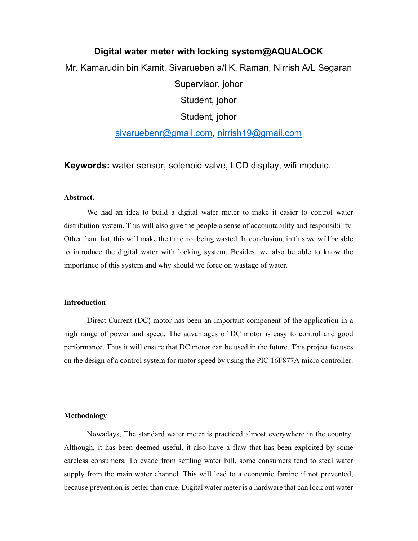# Digital water meter with locking system@AQUALOCK

Mr. Kamarudin bin Kamit, Sivarueben a/l K. Raman, Nirrish A/L Segaran

Supervisor, johor

Student, johor

Student, johor

sivaruebenr@gmail.com, nirrish19@gmail.com

Keywords: water sensor, solenoid valve, LCD display, wifi module.

#### Abstract.

We had an idea to build a digital water meter to make it easier to control water distribution system. This will also give the people a sense of accountability and responsibility. Other than that, this will make the time not being wasted. In conclusion, in this we will be able to introduce the digital water with locking system. Besides, we also be able to know the importance of this system and why should we force on wastage of water.

## Introduction

Direct Current (DC) motor has been an important component of the application in a high range of power and speed. The advantages of DC motor is easy to control and good performance. Thus it will ensure that DC motor can be used in the future. This project focuses on the design of a control system for motor speed by using the PIC 16F877A micro controller.

#### Methodology

 Nowadays, The standard water meter is practiced almost everywhere in the country. Although, it has been deemed useful, it also have a flaw that has been exploited by some careless consumers. To evade from settling water bill, some consumers tend to steal water supply from the main water channel. This will lead to a economic famine if not prevented, because prevention is better than cure. Digital water meter is a hardware that can lock out water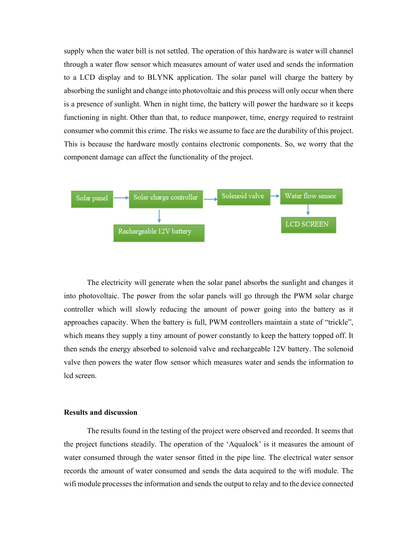supply when the water bill is not settled. The operation of this hardware is water will channel through a water flow sensor which measures amount of water used and sends the information to a LCD display and to BLYNK application. The solar panel will charge the battery by absorbing the sunlight and change into photovoltaic and this process will only occur when there is a presence of sunlight. When in night time, the battery will power the hardware so it keeps functioning in night. Other than that, to reduce manpower, time, energy required to restraint consumer who commit this crime. The risks we assume to face are the durability of this project. This is because the hardware mostly contains electronic components. So, we worry that the component damage can affect the functionality of the project.



 The electricity will generate when the solar panel absorbs the sunlight and changes it into photovoltaic. The power from the solar panels will go through the PWM solar charge controller which will slowly reducing the amount of power going into the battery as it approaches capacity. When the battery is full, PWM controllers maintain a state of "trickle", which means they supply a tiny amount of power constantly to keep the battery topped off. It then sends the energy absorbed to solenoid valve and rechargeable 12V battery. The solenoid valve then powers the water flow sensor which measures water and sends the information to lcd screen.

#### Results and discussion

 The results found in the testing of the project were observed and recorded. It seems that the project functions steadily. The operation of the 'Aqualock' is it measures the amount of water consumed through the water sensor fitted in the pipe line. The electrical water sensor records the amount of water consumed and sends the data acquired to the wifi module. The wifi module processes the information and sends the output to relay and to the device connected